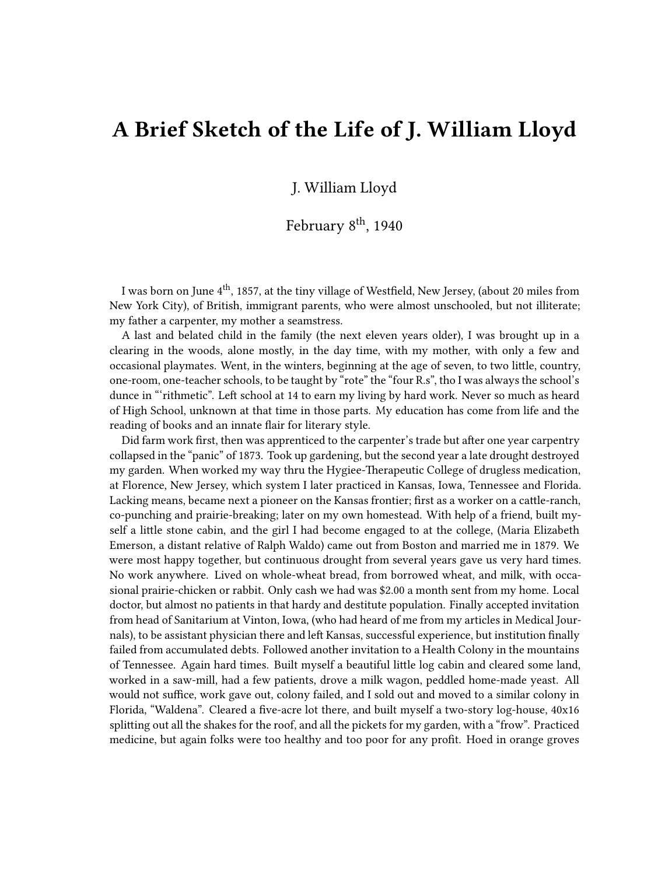## **A Brief Sketch of the Life of J. William Lloyd**

J. William Lloyd

February 8<sup>th</sup>, 1940

I was born on June 4th, 1857, at the tiny village of Westfield, New Jersey, (about 20 miles from New York City), of British, immigrant parents, who were almost unschooled, but not illiterate; my father a carpenter, my mother a seamstress.

A last and belated child in the family (the next eleven years older), I was brought up in a clearing in the woods, alone mostly, in the day time, with my mother, with only a few and occasional playmates. Went, in the winters, beginning at the age of seven, to two little, country, one-room, one-teacher schools, to be taught by "rote" the "four R.s", tho I was always the school's dunce in "'rithmetic". Left school at 14 to earn my living by hard work. Never so much as heard of High School, unknown at that time in those parts. My education has come from life and the reading of books and an innate flair for literary style.

Did farm work first, then was apprenticed to the carpenter's trade but after one year carpentry collapsed in the "panic" of 1873. Took up gardening, but the second year a late drought destroyed my garden. When worked my way thru the Hygiee-Therapeutic College of drugless medication, at Florence, New Jersey, which system I later practiced in Kansas, Iowa, Tennessee and Florida. Lacking means, became next a pioneer on the Kansas frontier; first as a worker on a cattle-ranch, co-punching and prairie-breaking; later on my own homestead. With help of a friend, built myself a little stone cabin, and the girl I had become engaged to at the college, (Maria Elizabeth Emerson, a distant relative of Ralph Waldo) came out from Boston and married me in 1879. We were most happy together, but continuous drought from several years gave us very hard times. No work anywhere. Lived on whole-wheat bread, from borrowed wheat, and milk, with occasional prairie-chicken or rabbit. Only cash we had was \$2.00 a month sent from my home. Local doctor, but almost no patients in that hardy and destitute population. Finally accepted invitation from head of Sanitarium at Vinton, Iowa, (who had heard of me from my articles in Medical Journals), to be assistant physician there and left Kansas, successful experience, but institution finally failed from accumulated debts. Followed another invitation to a Health Colony in the mountains of Tennessee. Again hard times. Built myself a beautiful little log cabin and cleared some land, worked in a saw-mill, had a few patients, drove a milk wagon, peddled home-made yeast. All would not suffice, work gave out, colony failed, and I sold out and moved to a similar colony in Florida, "Waldena". Cleared a five-acre lot there, and built myself a two-story log-house, 40x16 splitting out all the shakes for the roof, and all the pickets for my garden, with a "frow". Practiced medicine, but again folks were too healthy and too poor for any profit. Hoed in orange groves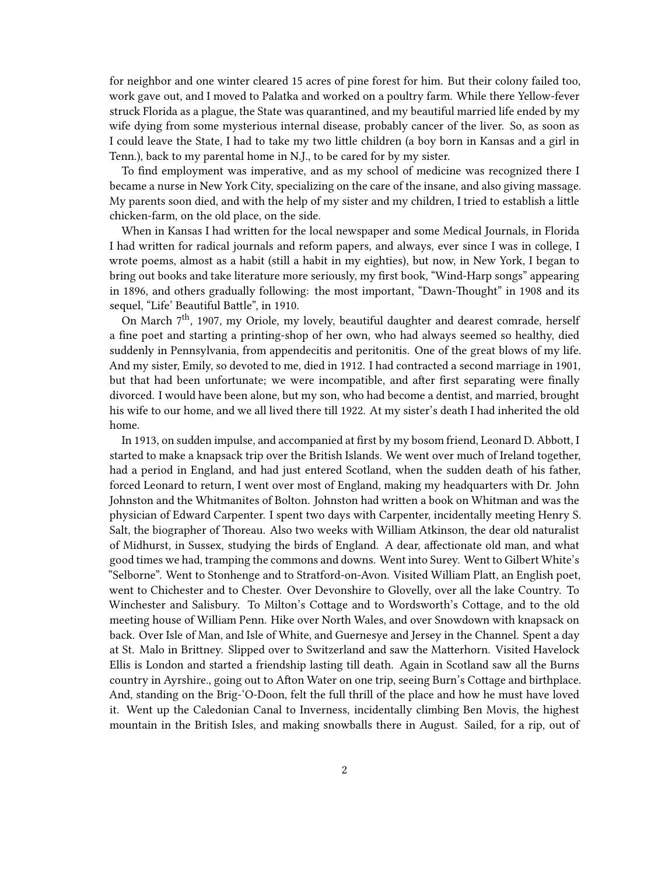for neighbor and one winter cleared 15 acres of pine forest for him. But their colony failed too, work gave out, and I moved to Palatka and worked on a poultry farm. While there Yellow-fever struck Florida as a plague, the State was quarantined, and my beautiful married life ended by my wife dying from some mysterious internal disease, probably cancer of the liver. So, as soon as I could leave the State, I had to take my two little children (a boy born in Kansas and a girl in Tenn.), back to my parental home in N.J., to be cared for by my sister.

To find employment was imperative, and as my school of medicine was recognized there I became a nurse in New York City, specializing on the care of the insane, and also giving massage. My parents soon died, and with the help of my sister and my children, I tried to establish a little chicken-farm, on the old place, on the side.

When in Kansas I had written for the local newspaper and some Medical Journals, in Florida I had written for radical journals and reform papers, and always, ever since I was in college, I wrote poems, almost as a habit (still a habit in my eighties), but now, in New York, I began to bring out books and take literature more seriously, my first book, "Wind-Harp songs" appearing in 1896, and others gradually following: the most important, "Dawn-Thought" in 1908 and its sequel, "Life' Beautiful Battle", in 1910.

On March 7<sup>th</sup>, 1907, my Oriole, my lovely, beautiful daughter and dearest comrade, herself a fine poet and starting a printing-shop of her own, who had always seemed so healthy, died suddenly in Pennsylvania, from appendecitis and peritonitis. One of the great blows of my life. And my sister, Emily, so devoted to me, died in 1912. I had contracted a second marriage in 1901, but that had been unfortunate; we were incompatible, and after first separating were finally divorced. I would have been alone, but my son, who had become a dentist, and married, brought his wife to our home, and we all lived there till 1922. At my sister's death I had inherited the old home.

In 1913, on sudden impulse, and accompanied at first by my bosom friend, Leonard D. Abbott, I started to make a knapsack trip over the British Islands. We went over much of Ireland together, had a period in England, and had just entered Scotland, when the sudden death of his father, forced Leonard to return, I went over most of England, making my headquarters with Dr. John Johnston and the Whitmanites of Bolton. Johnston had written a book on Whitman and was the physician of Edward Carpenter. I spent two days with Carpenter, incidentally meeting Henry S. Salt, the biographer of Thoreau. Also two weeks with William Atkinson, the dear old naturalist of Midhurst, in Sussex, studying the birds of England. A dear, affectionate old man, and what good times we had, tramping the commons and downs. Went into Surey. Went to Gilbert White's "Selborne". Went to Stonhenge and to Stratford-on-Avon. Visited William Platt, an English poet, went to Chichester and to Chester. Over Devonshire to Glovelly, over all the lake Country. To Winchester and Salisbury. To Milton's Cottage and to Wordsworth's Cottage, and to the old meeting house of William Penn. Hike over North Wales, and over Snowdown with knapsack on back. Over Isle of Man, and Isle of White, and Guernesye and Jersey in the Channel. Spent a day at St. Malo in Brittney. Slipped over to Switzerland and saw the Matterhorn. Visited Havelock Ellis is London and started a friendship lasting till death. Again in Scotland saw all the Burns country in Ayrshire., going out to Afton Water on one trip, seeing Burn's Cottage and birthplace. And, standing on the Brig-'O-Doon, felt the full thrill of the place and how he must have loved it. Went up the Caledonian Canal to Inverness, incidentally climbing Ben Movis, the highest mountain in the British Isles, and making snowballs there in August. Sailed, for a rip, out of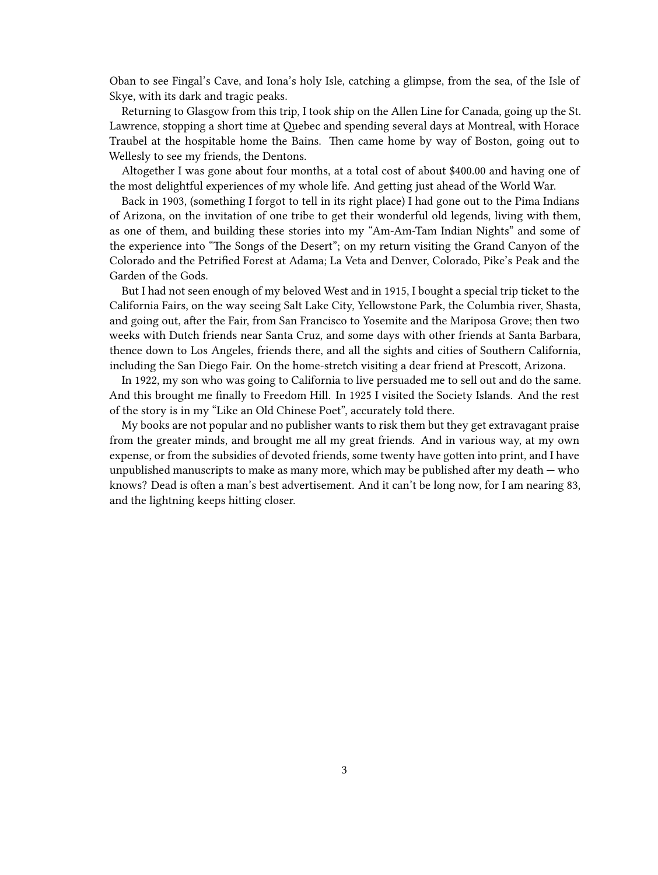Oban to see Fingal's Cave, and Iona's holy Isle, catching a glimpse, from the sea, of the Isle of Skye, with its dark and tragic peaks.

Returning to Glasgow from this trip, I took ship on the Allen Line for Canada, going up the St. Lawrence, stopping a short time at Quebec and spending several days at Montreal, with Horace Traubel at the hospitable home the Bains. Then came home by way of Boston, going out to Wellesly to see my friends, the Dentons.

Altogether I was gone about four months, at a total cost of about \$400.00 and having one of the most delightful experiences of my whole life. And getting just ahead of the World War.

Back in 1903, (something I forgot to tell in its right place) I had gone out to the Pima Indians of Arizona, on the invitation of one tribe to get their wonderful old legends, living with them, as one of them, and building these stories into my "Am-Am-Tam Indian Nights" and some of the experience into "The Songs of the Desert"; on my return visiting the Grand Canyon of the Colorado and the Petrified Forest at Adama; La Veta and Denver, Colorado, Pike's Peak and the Garden of the Gods.

But I had not seen enough of my beloved West and in 1915, I bought a special trip ticket to the California Fairs, on the way seeing Salt Lake City, Yellowstone Park, the Columbia river, Shasta, and going out, after the Fair, from San Francisco to Yosemite and the Mariposa Grove; then two weeks with Dutch friends near Santa Cruz, and some days with other friends at Santa Barbara, thence down to Los Angeles, friends there, and all the sights and cities of Southern California, including the San Diego Fair. On the home-stretch visiting a dear friend at Prescott, Arizona.

In 1922, my son who was going to California to live persuaded me to sell out and do the same. And this brought me finally to Freedom Hill. In 1925 I visited the Society Islands. And the rest of the story is in my "Like an Old Chinese Poet", accurately told there.

My books are not popular and no publisher wants to risk them but they get extravagant praise from the greater minds, and brought me all my great friends. And in various way, at my own expense, or from the subsidies of devoted friends, some twenty have gotten into print, and I have unpublished manuscripts to make as many more, which may be published after my death  $-$  who knows? Dead is often a man's best advertisement. And it can't be long now, for I am nearing 83, and the lightning keeps hitting closer.